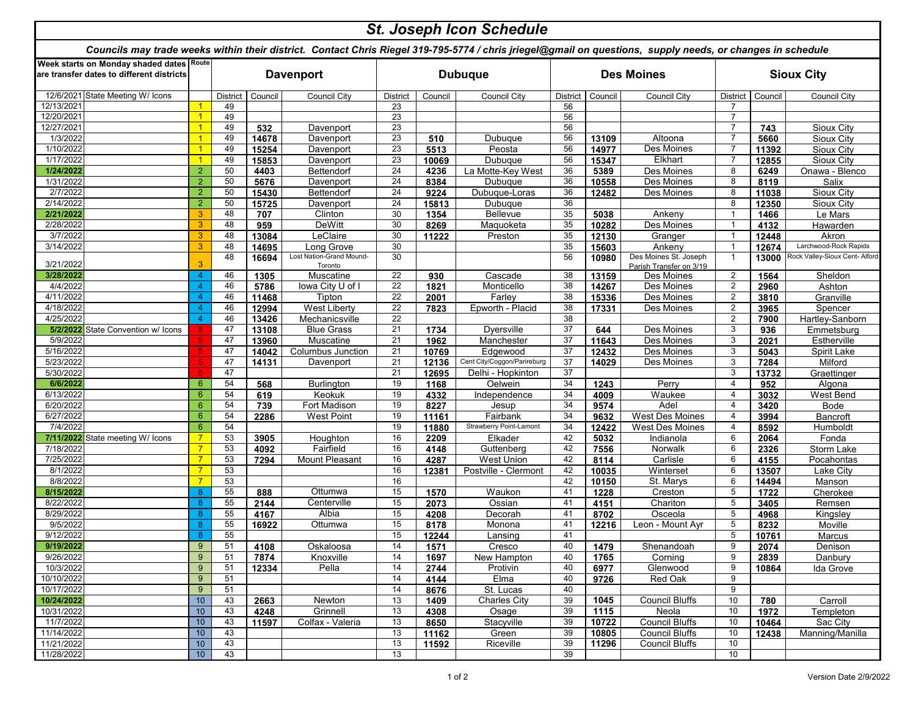| <b>St. Joseph Icon Schedule</b>                                                                                                                            |                                  |                 |                  |                                     |                 |                |                             |          |                   |                                                  |                 |                   |                                |  |
|------------------------------------------------------------------------------------------------------------------------------------------------------------|----------------------------------|-----------------|------------------|-------------------------------------|-----------------|----------------|-----------------------------|----------|-------------------|--------------------------------------------------|-----------------|-------------------|--------------------------------|--|
| Councils may trade weeks within their district. Contact Chris Riegel 319-795-5774 / chris jriegel@gmail on questions, supply needs, or changes in schedule |                                  |                 |                  |                                     |                 |                |                             |          |                   |                                                  |                 |                   |                                |  |
| Week starts on Monday shaded dates Route<br>are transfer dates to different districts                                                                      |                                  |                 | <b>Davenport</b> |                                     |                 | <b>Dubuque</b> |                             |          | <b>Des Moines</b> |                                                  |                 | <b>Sioux City</b> |                                |  |
| State Meeting W/ Icons<br>12/6/2021                                                                                                                        |                                  | <b>District</b> | Council          | <b>Council City</b>                 | District        | Council        | <b>Council City</b>         | District | Council           | <b>Council City</b>                              | <b>District</b> | Council           | Council City                   |  |
| 12/13/2021                                                                                                                                                 | 1                                | 49              |                  |                                     | 23              |                |                             | 56       |                   |                                                  | 7               |                   |                                |  |
| 12/20/2021                                                                                                                                                 | $\overline{1}$                   | 49              |                  |                                     | 23              |                |                             | 56       |                   |                                                  | $\overline{7}$  |                   |                                |  |
| 12/27/2021                                                                                                                                                 | $\overline{1}$                   | 49              | 532              | Davenport                           | 23              |                |                             | 56       |                   |                                                  | 7               | 743               | Sioux City                     |  |
| 1/3/2022                                                                                                                                                   | $\mathbf{1}$                     | 49              | 14678            | Davenport                           | 23              | 510            | Dubuque                     | 56       | 13109             | Altoona                                          | $\overline{7}$  | 5660              | Sioux City                     |  |
| 1/10/2022                                                                                                                                                  | $\overline{1}$                   | 49              | 15254            | Davenport                           | 23              | 5513           | Peosta                      | 56       | 14977             | Des Moines                                       |                 | 11392             | Sioux City                     |  |
| 1/17/2022                                                                                                                                                  | $\overline{1}$                   | 49              | 15853            | Davenport                           | 23              | 10069          | Dubuque                     | 56       | 15347             | Elkhart                                          | $\overline{7}$  | 12855             | Sioux City                     |  |
| 1/24/2022                                                                                                                                                  | $\overline{2}$                   | 50              | 4403             | Bettendorf                          | 24              | 4236           | La Motte-Key West           | 36       | 5389              | Des Moines                                       | 8               | 6249              | Onawa - Blenco                 |  |
| 1/31/2022                                                                                                                                                  | $\overline{2}$                   | 50              | 5676             | Davenport                           | 24              | 8384           | Dubuque                     | 36       | 10558             | Des Moines                                       | 8               | 8119              | Salix                          |  |
| 2/7/2022                                                                                                                                                   | $\overline{2}$                   | 50              | 15430            | Bettendorf                          | 24              | 9224           | Dubuque-Loras               | 36       | 12482             | Des Moines                                       | 8               | 11038             | Sioux City                     |  |
| 2/14/2022                                                                                                                                                  | $\overline{2}$                   | 50              | 15725            | Davenport                           | 24              | 15813          | Dubuque                     | 36       |                   |                                                  | 8               | 12350             | Sioux City                     |  |
| 2/21/2022                                                                                                                                                  | 3                                | 48              | 707              | Clinton                             | 30              | 1354           | <b>Bellevue</b>             | 35       | 5038              | Ankeny                                           | $\mathbf{1}$    | 1466              | Le Mars                        |  |
| 2/28/2022                                                                                                                                                  | 3                                | 48              | 959              | DeWitt                              | 30              | 8269           | Maquoketa                   | 35       | 10282             | Des Moines                                       | $\overline{1}$  | 4132              | Hawarden                       |  |
| 3/7/2022                                                                                                                                                   | 3                                | 48              | 13084            | LeClaire                            | 30              | 11222          | Preston                     | 35       | 12130             | Granger                                          | $\overline{1}$  | 12448             | Akron                          |  |
| 3/14/2022                                                                                                                                                  | 3                                | 48              | 14695            | ong Grove                           | 30              |                |                             | 35       | 15603             | Ankeny                                           |                 | 12674             | Larchwood-Rock Rapids          |  |
| 3/21/2022                                                                                                                                                  | 3                                | 48              | 16694            | Lost Nation-Grand Mound-<br>Toronto | 30              |                |                             | 56       | 10980             | Des Moines St. Joseph<br>Parish Transfer on 3/19 | $\mathbf{1}$    | 13000             | Rock Valley-Sioux Cent- Alford |  |
| 3/28/2022                                                                                                                                                  | 4                                | 46              | 1305             | Muscatine                           | $\overline{22}$ | 930            | Cascade                     | 38       | 13159             | Des Moines                                       | $\overline{2}$  | 1564              | Sheldon                        |  |
| 4/4/2022                                                                                                                                                   | 4                                | 46              | 5786             | lowa City U of I                    | 22              | 1821           | Monticello                  | 38       | 14267             | Des Moines                                       | 2               | 2960              | Ashton                         |  |
| 4/11/2022                                                                                                                                                  | 4                                | 46              | 11468            | Tipton                              | 22              | 2001           | Farley                      | 38       | 15336             | Des Moines                                       | $\overline{2}$  | 3810              | Granville                      |  |
| 4/18/2022                                                                                                                                                  | 4                                | 46              | 12994            | <b>West Liberty</b>                 | 22              | 7823           | Epworth - Placid            | 38       | 17331             | Des Moines                                       | $\overline{2}$  | 3965              | Spencer                        |  |
| 4/25/2022                                                                                                                                                  |                                  | 46              | 13426            | Mechanicsville                      | 22              |                |                             | 38       |                   |                                                  | $\overline{2}$  | 7900              | Hartley-Sanborn                |  |
| 5/2/2022<br>State Convention w/ Icons                                                                                                                      |                                  | 47              | 13108            | <b>Blue Grass</b>                   | 21              | 1734           | Dyersville                  | 37       | 644               | Des Moines                                       | 3               | 936               | Emmetsburg                     |  |
| 5/9/2022                                                                                                                                                   |                                  | 47              | 13960            | Muscatine                           | 21              | 1962           | Manchester                  | 37       | 11643             | <b>Des Moines</b>                                | 3               | 2021              | Estherville                    |  |
| 5/16/2022                                                                                                                                                  |                                  | 47              | 14042            | <b>Columbus Junction</b>            | 21              | 10769          | Edgewood                    | 37       | 12432             | Des Moines                                       | 3               | 5043              | Spirit Lake                    |  |
| 5/23/2022                                                                                                                                                  | Б                                | 47              | 14131            | Davenport                           | 21              | 12136          | Cent City/Coggon/Parireburg | 37       | 14029             | Des Moines                                       | 3               | 7284              | Milford                        |  |
| 5/30/2022                                                                                                                                                  |                                  | 47              |                  |                                     | 21              | 12695          | Delhi - Hopkinton           | 37       |                   |                                                  | 3               | 13732             | Graettinger                    |  |
| 6/6/2022                                                                                                                                                   | 6                                | 54              | 568              | Burlington                          | 19              | 1168           | Oelwein                     | 34       | 1243              | Perry                                            | $\overline{4}$  | 952               | Algona                         |  |
| 6/13/2022                                                                                                                                                  | 6                                | 54              | 619              | Keokuk                              | 19              | 4332           | Independence                | 34       | 4009              | Waukee                                           | $\overline{4}$  | 3032              | West Bend                      |  |
| 6/20/2022                                                                                                                                                  | 6                                | 54              | 739              | Fort Madison                        | 19              | 8227           | Jesup                       | 34       | 9574              | Adel                                             | $\overline{4}$  | 3420              | Bode                           |  |
| 6/27/2022                                                                                                                                                  | 6                                | 54              | 2286             | <b>West Point</b>                   | 19              | 11161          | Fairbank                    | 34       | 9632              | West Des Moines                                  | $\overline{4}$  | 3994              | Bancroft                       |  |
| 7/4/2022                                                                                                                                                   | 6                                | 54              |                  |                                     | 19              | 11880          | Strawberry Point-Lamont     | 34       | 12422             | West Des Moines                                  | $\overline{4}$  | 8592              | Humboldt                       |  |
| 7/11/2022 State meeting W/ Icons                                                                                                                           | $\overline{7}$                   | 53              | 3905             | Houghton                            | 16              | 2209           | Elkader                     | 42       | 5032              | Indianola                                        | 6               | 2064              | Fonda                          |  |
| 7/18/2022                                                                                                                                                  | $\overline{7}$                   | 53              | 4092             | Fairfield                           | 16              | 4148           | Guttenberg                  | 42       | 7556              | Norwalk                                          | 6               | 2326              | Storm Lake                     |  |
| 7/25/2022                                                                                                                                                  | $\overline{7}$                   | 53              | 7294             | Mount Pleasant                      | 16              | 4287           | West Union                  | 42       | 8114              | Carlisle                                         | 6               | 4155              | Pocahontas                     |  |
| 8/1/2022                                                                                                                                                   | $\overline{7}$<br>$\overline{7}$ | 53              |                  |                                     | 16              | 12381          | Postville - Clermont        | 42       | 10035             | Winterset                                        | 6               | 13507             | Lake City                      |  |
| 8/8/2022                                                                                                                                                   |                                  | 53              |                  |                                     | 16              |                |                             | 42       | 10150             | St. Marys                                        | 6               | 14494             | Manson                         |  |
| 8/15/2022                                                                                                                                                  | 8                                | 55              | 888              | Ottumwa                             | 15              | 1570           | Waukon                      | 41       | 1228              | Creston                                          | 5<br>5          | 1722              | Cherokee                       |  |
| 8/22/2022<br>8/29/2022                                                                                                                                     | 8<br>8                           | 55<br>55        | 2144             | Centerville<br>Albia                | 15<br>15        | 2073           | Ossian                      | 41<br>41 | 4151              | Chariton                                         | 5               | 3405              | Remsen                         |  |
| 9/5/2022                                                                                                                                                   | 8                                | 55              | 4167             | Ottumwa                             | 15              | 4208           | Decorah<br>Monona           | 41       | 8702              | Osceola<br>Leon - Mount Ayr                      | 5               | 4968              | Kingsley                       |  |
| 9/12/2022                                                                                                                                                  | 8                                | 55              | 16922            |                                     | 15              | 8178           |                             | 41       | 12216             |                                                  | 5               | 8232              | Moville                        |  |
|                                                                                                                                                            |                                  |                 |                  |                                     |                 | 12244          | Lansing                     |          |                   |                                                  |                 | 10761             | Marcus                         |  |
| 9/19/2022<br>9/26/2022                                                                                                                                     | 9<br>$\boldsymbol{9}$            | 51<br>51        | 4108<br>7874     | Oskaloosa<br>Knoxville              | 14<br>14        | 1571<br>1697   | Cresco<br>New Hampton       | 40<br>40 | 1479<br>1765      | Shenandoah<br>Corning                            | 9<br>9          | 2074              | Denison                        |  |
| 10/3/2022                                                                                                                                                  | 9                                | 51              | 12334            | Pella                               | 14              | 2744           | Protivin                    | 40       | 6977              | Glenwood                                         | 9               | 2839<br>10864     | Danbury<br>Ida Grove           |  |
| 10/10/2022                                                                                                                                                 | 9                                | 51              |                  |                                     | 14              | 4144           | Elma                        | 40       | 9726              | Red Oak                                          | 9               |                   |                                |  |
| 10/17/2022                                                                                                                                                 | 9                                | 51              |                  |                                     | 14              | 8676           | St. Lucas                   | 40       |                   |                                                  | 9               |                   |                                |  |
| 10/24/2022                                                                                                                                                 | 10                               | 43              | 2663             | Newton                              | 13              | 1409           | <b>Charles City</b>         | 39       | 1045              | <b>Council Bluffs</b>                            | 10              | 780               | Carroll                        |  |
| 10/31/2022                                                                                                                                                 | 10                               | 43              | 4248             | Grinnell                            | 13              | 4308           | Osage                       | 39       | 1115              | Neola                                            | 10              | 1972              | Templeton                      |  |
| 11/7/2022                                                                                                                                                  | 10 <sup>°</sup>                  | 43              | 11597            | Colfax - Valeria                    | 13              | 8650           | Stacyville                  | 39       | 10722             | <b>Council Bluffs</b>                            | 10              | 10464             | Sac City                       |  |
| 11/14/2022                                                                                                                                                 | 10                               | 43              |                  |                                     | 13              | 11162          | Green                       | 39       | 10805             | <b>Council Bluffs</b>                            | 10              | 12438             | Manning/Manilla                |  |
| 11/21/2022                                                                                                                                                 | 10                               | 43              |                  |                                     | 13              | 11592          | Riceville                   | 39       | 11296             | <b>Council Bluffs</b>                            | 10              |                   |                                |  |
| 11/28/2022                                                                                                                                                 | 10                               | 43              |                  |                                     | 13              |                |                             | 39       |                   |                                                  | 10              |                   |                                |  |